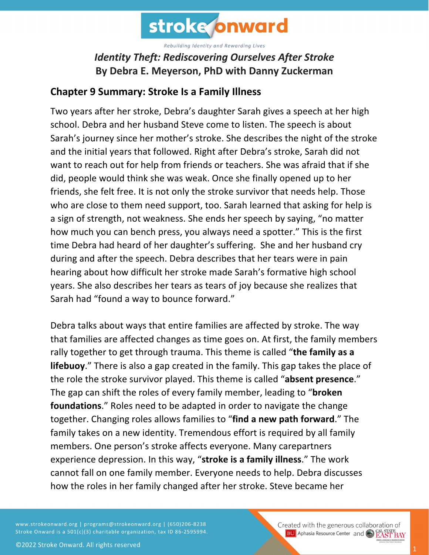

## *Identity Theft: Rediscovering Ourselves After Stroke* **By Debra E. Meyerson, PhD with Danny Zuckerman**

#### **Chapter 9 Summary: Stroke Is a Family Illness**

Two years after her stroke, Debra's daughter Sarah gives a speech at her high school. Debra and her husband Steve come to listen. The speech is about Sarah's journey since her mother's stroke. She describes the night of the stroke and the initial years that followed. Right after Debra's stroke, Sarah did not want to reach out for help from friends or teachers. She was afraid that if she did, people would think she was weak. Once she finally opened up to her friends, she felt free. It is not only the stroke survivor that needs help. Those who are close to them need support, too. Sarah learned that asking for help is a sign of strength, not weakness. She ends her speech by saying, "no matter how much you can bench press, you always need a spotter." This is the first time Debra had heard of her daughter's suffering. She and her husband cry during and after the speech. Debra describes that her tears were in pain hearing about how difficult her stroke made Sarah's formative high school years. She also describes her tears as tears of joy because she realizes that Sarah had "found a way to bounce forward."

Debra talks about ways that entire families are affected by stroke. The way that families are affected changes as time goes on. At first, the family members rally together to get through trauma. This theme is called "**the family as a lifebuoy**." There is also a gap created in the family. This gap takes the place of the role the stroke survivor played. This theme is called "**absent presence**." The gap can shift the roles of every family member, leading to "**broken foundations**." Roles need to be adapted in order to navigate the change together. Changing roles allows families to "**find a new path forward**." The family takes on a new identity. Tremendous effort is required by all family members. One person's stroke affects everyone. Many carepartners experience depression. In this way, "**stroke is a family illness**." The work cannot fall on one family member. Everyone needs to help. Debra discusses how the roles in her family changed after her stroke. Steve became her

www.strokeonward.org | programs@strokeonward.org | (650)206-8238 Stroke Onward is a 501(c)(3) charitable organization, tax ID 86-2595994.

Created with the generous collaboration of **BU** Aphasia Resource Center and **COL STATE BAY**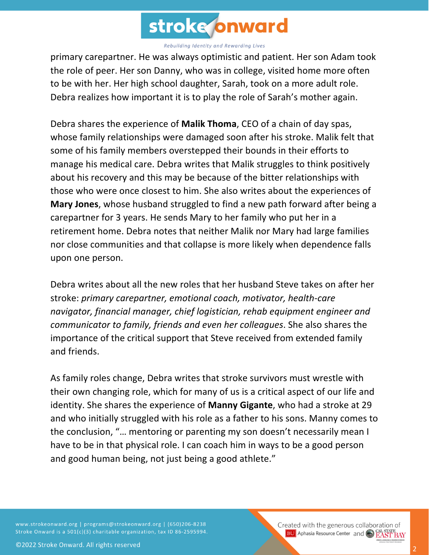

primary carepartner. He was always optimistic and patient. Her son Adam took the role of peer. Her son Danny, who was in college, visited home more often to be with her. Her high school daughter, Sarah, took on a more adult role. Debra realizes how important it is to play the role of Sarah's mother again.

Debra shares the experience of **Malik Thoma**, CEO of a chain of day spas, whose family relationships were damaged soon after his stroke. Malik felt that some of his family members overstepped their bounds in their efforts to manage his medical care. Debra writes that Malik struggles to think positively about his recovery and this may be because of the bitter relationships with those who were once closest to him. She also writes about the experiences of **Mary Jones**, whose husband struggled to find a new path forward after being a carepartner for 3 years. He sends Mary to her family who put her in a retirement home. Debra notes that neither Malik nor Mary had large families nor close communities and that collapse is more likely when dependence falls upon one person.

Debra writes about all the new roles that her husband Steve takes on after her stroke: *primary carepartner, emotional coach, motivator, health-care navigator, financial manager, chief logistician, rehab equipment engineer and communicator to family, friends and even her colleagues*. She also shares the importance of the critical support that Steve received from extended family and friends.

As family roles change, Debra writes that stroke survivors must wrestle with their own changing role, which for many of us is a critical aspect of our life and identity. She shares the experience of **Manny Gigante**, who had a stroke at 29 and who initially struggled with his role as a father to his sons. Manny comes to the conclusion, "… mentoring or parenting my son doesn't necessarily mean I have to be in that physical role. I can coach him in ways to be a good person and good human being, not just being a good athlete."

www.strokeonward.org | programs@strokeonward.org | (650)206-8238 Stroke Onward is a 501(c)(3) charitable organization, tax ID 86-2595994. Created with the generous collaboration of **BU** Aphasia Resource Center and CO **EAST BAY**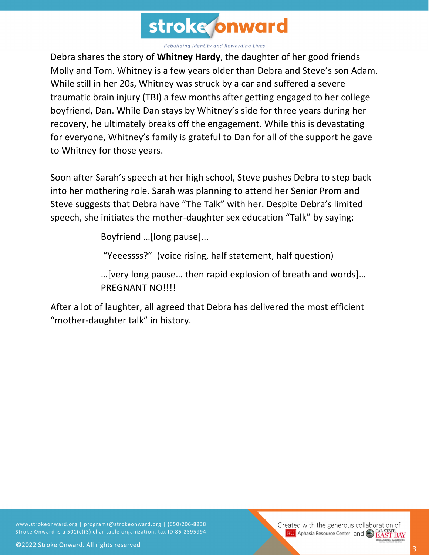

Debra shares the story of **Whitney Hardy**, the daughter of her good friends Molly and Tom. Whitney is a few years older than Debra and Steve's son Adam. While still in her 20s, Whitney was struck by a car and suffered a severe traumatic brain injury (TBI) a few months after getting engaged to her college boyfriend, Dan. While Dan stays by Whitney's side for three years during her recovery, he ultimately breaks off the engagement. While this is devastating for everyone, Whitney's family is grateful to Dan for all of the support he gave to Whitney for those years.

Soon after Sarah's speech at her high school, Steve pushes Debra to step back into her mothering role. Sarah was planning to attend her Senior Prom and Steve suggests that Debra have "The Talk" with her. Despite Debra's limited speech, she initiates the mother-daughter sex education "Talk" by saying:

Boyfriend …[long pause]...

"Yeeessss?" (voice rising, half statement, half question)

…[very long pause… then rapid explosion of breath and words]… PREGNANT NO!!!!

After a lot of laughter, all agreed that Debra has delivered the most efficient "mother-daughter talk" in history.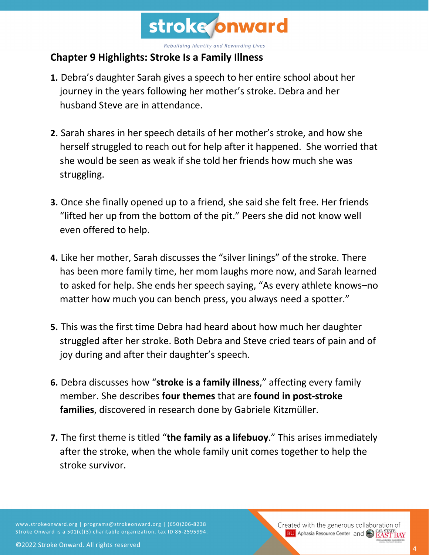

# **Chapter 9 Highlights: Stroke Is a Family Illness**

- **1.** Debra's daughter Sarah gives a speech to her entire school about her journey in the years following her mother's stroke. Debra and her husband Steve are in attendance.
- **2.** Sarah shares in her speech details of her mother's stroke, and how she herself struggled to reach out for help after it happened. She worried that she would be seen as weak if she told her friends how much she was struggling.
- **3.** Once she finally opened up to a friend, she said she felt free. Her friends "lifted her up from the bottom of the pit." Peers she did not know well even offered to help.
- **4.** Like her mother, Sarah discusses the "silver linings" of the stroke. There has been more family time, her mom laughs more now, and Sarah learned to asked for help. She ends her speech saying, "As every athlete knows–no matter how much you can bench press, you always need a spotter."
- **5.** This was the first time Debra had heard about how much her daughter struggled after her stroke. Both Debra and Steve cried tears of pain and of joy during and after their daughter's speech.
- **6.** Debra discusses how "**stroke is a family illness**," affecting every family member. She describes **four themes** that are **found in post-stroke families**, discovered in research done by Gabriele Kitzmüller.
- **7.** The first theme is titled "**the family as a lifebuoy**." This arises immediately after the stroke, when the whole family unit comes together to help the stroke survivor.

www.strokeonward.org | programs@strokeonward.org | (650)206-8238 Stroke Onward is a 501(c)(3) charitable organization, tax ID 86-2595994. Created with the generous collaboration of **BU** Aphasia Resource Center and **CAL STATE**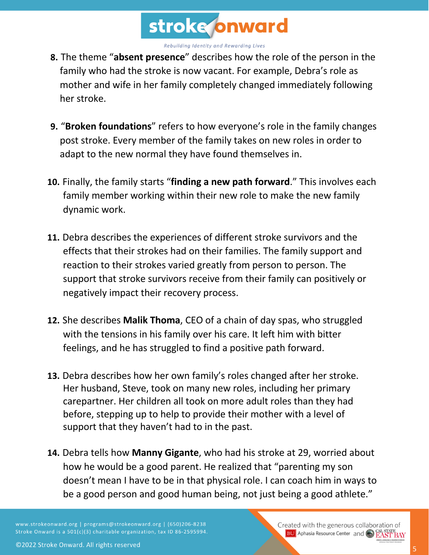

- **8.** The theme "**absent presence**" describes how the role of the person in the family who had the stroke is now vacant. For example, Debra's role as mother and wife in her family completely changed immediately following her stroke.
- **9.** "**Broken foundations**" refers to how everyone's role in the family changes post stroke. Every member of the family takes on new roles in order to adapt to the new normal they have found themselves in.
- **10.** Finally, the family starts "**finding a new path forward**." This involves each family member working within their new role to make the new family dynamic work.
- **11.** Debra describes the experiences of different stroke survivors and the effects that their strokes had on their families. The family support and reaction to their strokes varied greatly from person to person. The support that stroke survivors receive from their family can positively or negatively impact their recovery process.
- **12.** She describes **Malik Thoma**, CEO of a chain of day spas, who struggled with the tensions in his family over his care. It left him with bitter feelings, and he has struggled to find a positive path forward.
- **13.** Debra describes how her own family's roles changed after her stroke. Her husband, Steve, took on many new roles, including her primary carepartner. Her children all took on more adult roles than they had before, stepping up to help to provide their mother with a level of support that they haven't had to in the past.
- **14.** Debra tells how **Manny Gigante**, who had his stroke at 29, worried about how he would be a good parent. He realized that "parenting my son doesn't mean I have to be in that physical role. I can coach him in ways to be a good person and good human being, not just being a good athlete."

www.strokeonward.org | programs@strokeonward.org | (650)206-8238 Stroke Onward is a 501(c)(3) charitable organization, tax ID 86-2595994. Created with the generous collaboration of **BU** Aphasia Resource Center and **CAL STATE**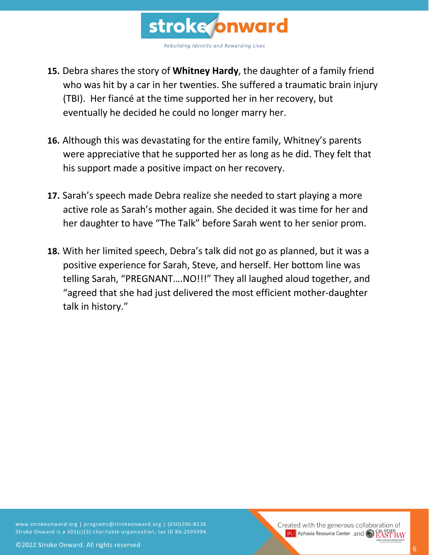

- **15.** Debra shares the story of **Whitney Hardy**, the daughter of a family friend who was hit by a car in her twenties. She suffered a traumatic brain injury (TBI). Her fiancé at the time supported her in her recovery, but eventually he decided he could no longer marry her.
- **16.** Although this was devastating for the entire family, Whitney's parents were appreciative that he supported her as long as he did. They felt that his support made a positive impact on her recovery.
- **17.** Sarah's speech made Debra realize she needed to start playing a more active role as Sarah's mother again. She decided it was time for her and her daughter to have "The Talk" before Sarah went to her senior prom.
- **18.** With her limited speech, Debra's talk did not go as planned, but it was a positive experience for Sarah, Steve, and herself. Her bottom line was telling Sarah, "PREGNANT….NO!!!" They all laughed aloud together, and "agreed that she had just delivered the most efficient mother-daughter talk in history."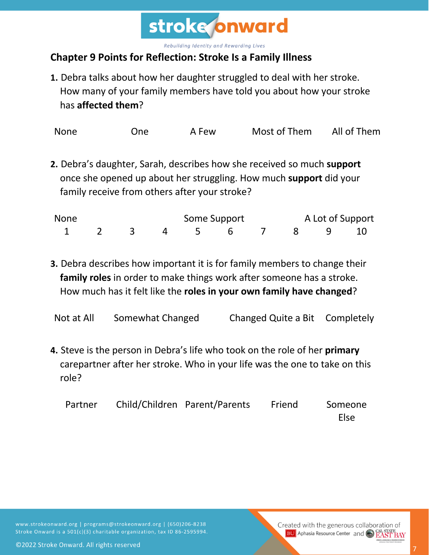

### **Chapter 9 Points for Reflection: Stroke Is a Family Illness**

**1.** Debra talks about how her daughter struggled to deal with her stroke. How many of your family members have told you about how your stroke has **affected them**?

| <b>None</b> | One | A Few | Most of Them | All of Them |
|-------------|-----|-------|--------------|-------------|
|-------------|-----|-------|--------------|-------------|

**2.** Debra's daughter, Sarah, describes how she received so much **support** once she opened up about her struggling. How much **support** did your family receive from others after your stroke?

| None                 |  |  | Some Support |  |  | A Lot of Support |  |  |
|----------------------|--|--|--------------|--|--|------------------|--|--|
| 1 2 3 4 5 6 7 8 9 10 |  |  |              |  |  |                  |  |  |

**3.** Debra describes how important it is for family members to change their **family roles** in order to make things work after someone has a stroke. How much has it felt like the **roles in your own family have changed**?

Not at All Somewhat Changed Changed Quite a Bit Completely

**4.** Steve is the person in Debra's life who took on the role of her **primary**  carepartner after her stroke. Who in your life was the one to take on this role?

| Partner | Child/Children Parent/Parents | Friend | Someone |
|---------|-------------------------------|--------|---------|
|         |                               |        | Else    |